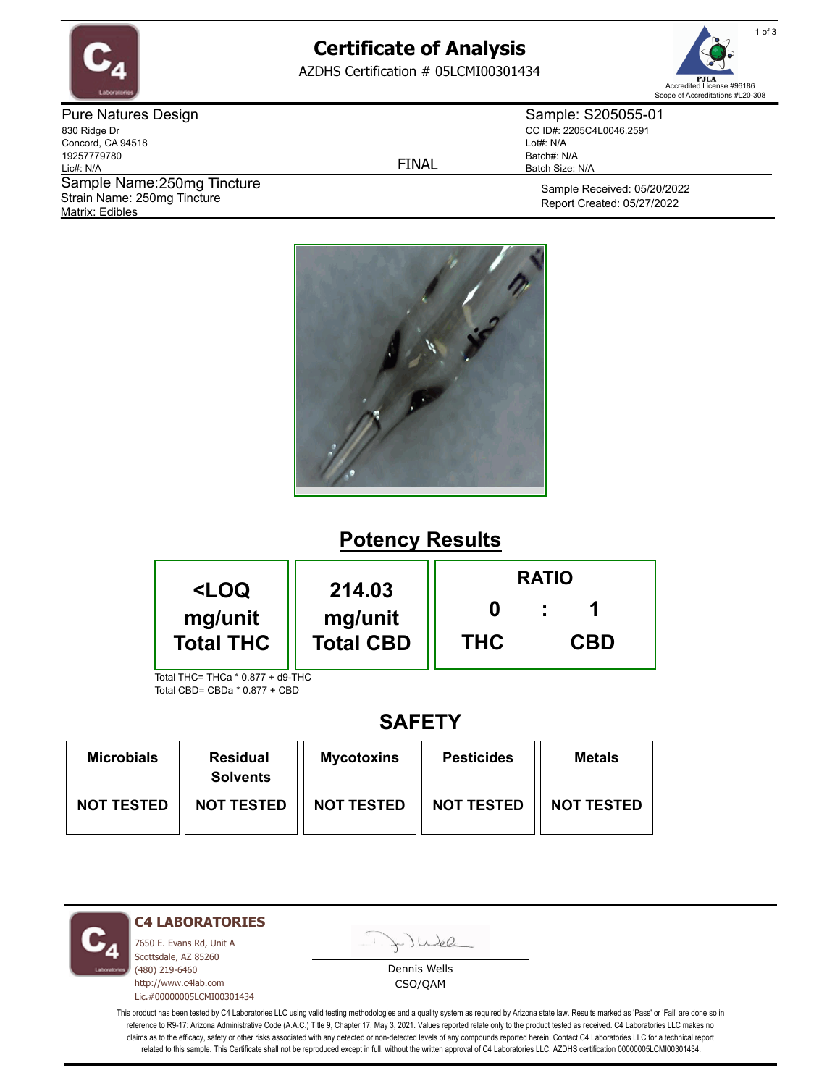

# **Certificate of Analysis**

AZDHS Certification # 05LCMI00301434



Pure Natures Design 830 Ridge Dr Concord, CA 94518 19257779780 Lic#: N/A Matrix: Edibles Sample Name: 250mg Tincture Strain Name: 250mg Tincture

FINAL

Sample: S205055-01 CC ID#: 2205C4L0046.2591 Lot#: N/A Batch#: N/A Batch Size: N/A

> Sample Received: 05/20/2022 Report Created: 05/27/2022



## **Potency Results**

| <loq< th=""><th rowspan="2">214.03<br/>mg/unit<br/><b>Total CBD</b></th><th colspan="3"><b>RATIO</b></th></loq<> | 214.03<br>mg/unit<br><b>Total CBD</b> | <b>RATIO</b> |            |  |
|------------------------------------------------------------------------------------------------------------------|---------------------------------------|--------------|------------|--|
| mg/unit<br><b>Total THC</b>                                                                                      |                                       | <b>THC</b>   | <b>CBD</b> |  |
| Total THC= THCa * 0.877 + d9-THC                                                                                 |                                       |              |            |  |

Total CBD= CBDa \* 0.877 + CBD

### **SAFETY**

| <b>Microbials</b> | <b>Residual</b><br><b>Solvents</b> | <b>Mycotoxins</b> | <b>Pesticides</b> | <b>Metals</b>     |
|-------------------|------------------------------------|-------------------|-------------------|-------------------|
| <b>NOT TESTED</b> | <b>NOT TESTED</b>                  | <b>NOT TESTED</b> | <b>NOT TESTED</b> | <b>NOT TESTED</b> |

**C4 LABORATORIES**

7650 E. Evans Rd, Unit A Scottsdale, AZ 85260 (480) 219-6460 http://www.c4lab.com Lic.#00000005LCMI00301434 Juea

Dennis Wells CSO/QAM

This product has been tested by C4 Laboratories LLC using valid testing methodologies and a quality system as required by Arizona state law. Results marked as 'Pass' or 'Fail' are done so in reference to R9-17: Arizona Administrative Code (A.A.C.) Title 9, Chapter 17, May 3, 2021. Values reported relate only to the product tested as received. C4 Laboratories LLC makes no claims as to the efficacy, safety or other risks associated with any detected or non-detected levels of any compounds reported herein. Contact C4 Laboratories LLC for a technical report related to this sample. This Certificate shall not be reproduced except in full, without the written approval of C4 Laboratories LLC. AZDHS certification 00000005LCMI00301434.

1 of 3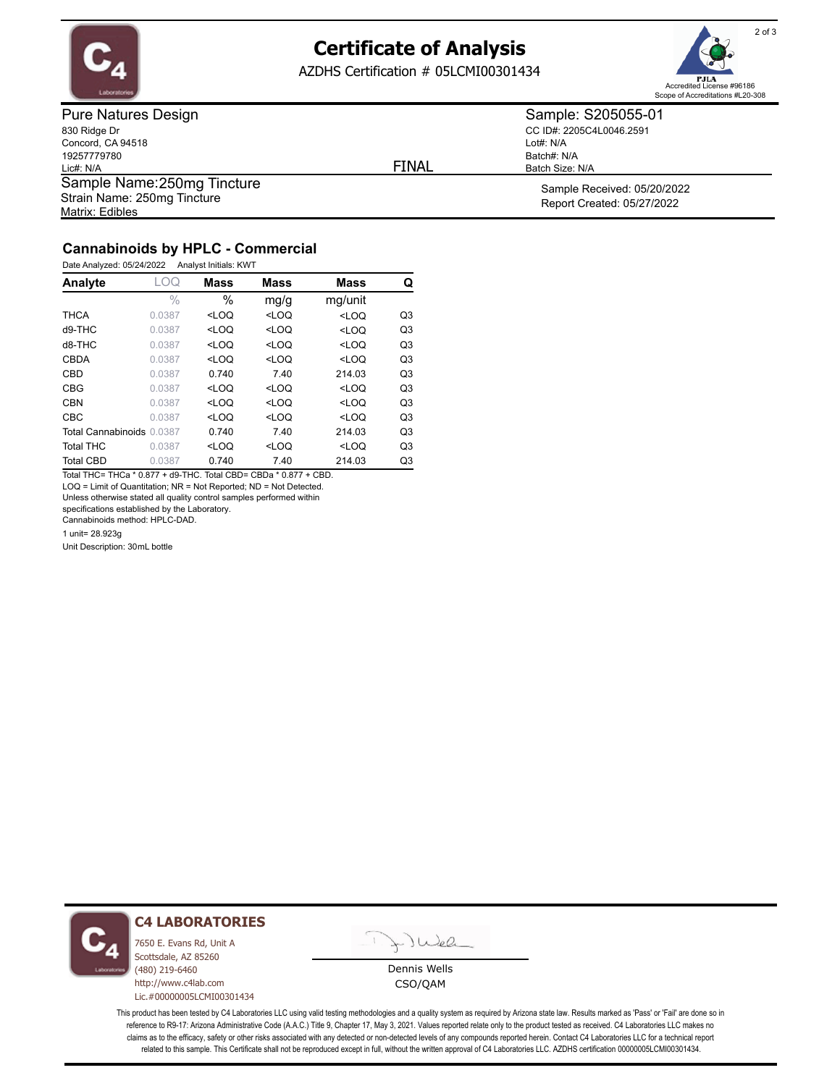

# **Certificate of Analysis**

AZDHS Certification # 05LCMI00301434



Pure Natures Design 830 Ridge Dr Concord, CA 94518 19257779780 Lic#: N/A Matrix: Edibles Sample Name: 250mg Tincture Strain Name: 250mg Tincture

FINAL

CC ID#: 2205C4L0046.2591 Lot#: N/A Batch#: N/A

Sample Received: 05/20/2022 Batch Size: N/A

Sample: S205055-01

Report Created: 05/27/2022

### **Cannabinoids by HPLC - Commercial**

Date Analyzed: 05/24/2022 Analyst Initials: KWT

| Analyte                   | -OQ           | <b>Mass</b>                                                                                         | <b>Mass</b> | <b>Mass</b> | Q              |
|---------------------------|---------------|-----------------------------------------------------------------------------------------------------|-------------|-------------|----------------|
|                           | $\frac{0}{0}$ | $\%$                                                                                                | mg/g        | mg/unit     |                |
| <b>THCA</b>               | 0.0387        | $<$ LOQ                                                                                             | $<$ LOQ     | $<$ LOQ     | Q <sub>3</sub> |
| $d9-THC$                  | 0.0387        | <loq< td=""><td><math>&lt;</math>LOQ</td><td><math>&lt;</math>LOQ</td><td>Q<sub>3</sub></td></loq<> | $<$ LOQ     | $<$ LOQ     | Q <sub>3</sub> |
| $d8-THC$                  | 0.0387        | $<$ LOQ                                                                                             | $<$ LOQ     | $<$ LOQ     | Q <sub>3</sub> |
| <b>CBDA</b>               | 0.0387        | $<$ LOQ                                                                                             | $<$ LOQ     | $<$ LOQ     | Q <sub>3</sub> |
| CBD                       | 0.0387        | 0.740                                                                                               | 7.40        | 214.03      | Q <sub>3</sub> |
| <b>CBG</b>                | 0.0387        | $<$ LOQ                                                                                             | $<$ LOQ     | $<$ LOQ     | Q <sub>3</sub> |
| <b>CBN</b>                | 0.0387        | $<$ LOQ                                                                                             | $<$ LOQ     | $<$ LOQ     | Q <sub>3</sub> |
| <b>CBC</b>                | 0.0387        | $<$ LOO                                                                                             | $<$ LOQ     | $<$ LOQ     | Q <sub>3</sub> |
| Total Cannabinoids 0.0387 |               | 0.740                                                                                               | 7.40        | 214.03      | Q <sub>3</sub> |
| <b>Total THC</b>          | 0.0387        | $<$ LOQ                                                                                             | $<$ LOQ     | $<$ LOQ     | Q <sub>3</sub> |
| <b>Total CBD</b>          | 0.0387        | 0.740                                                                                               | 7.40        | 214.03      | Q3             |

Total THC= THCa \* 0.877 + d9-THC. Total CBD= CBDa \* 0.877 + CBD. LOQ = Limit of Quantitation; NR = Not Reported; ND = Not Detected.

Unless otherwise stated all quality control samples performed within

specifications established by the Laboratory.

Cannabinoids method: HPLC-DAD.

1 unit= 28.923g

Unit Description: 30mL bottle



#### **C4 LABORATORIES**

7650 E. Evans Rd, Unit A Scottsdale, AZ 85260 (480) 219-6460 http://www.c4lab.com Lic.#00000005LCMI00301434

- JWel

Dennis Wells CSO/QAM

This product has been tested by C4 Laboratories LLC using valid testing methodologies and a quality system as required by Arizona state law. Results marked as 'Pass' or 'Fail' are done so in reference to R9-17: Arizona Administrative Code (A.A.C.) Title 9, Chapter 17, May 3, 2021. Values reported relate only to the product tested as received. C4 Laboratories LLC makes no claims as to the efficacy, safety or other risks associated with any detected or non-detected levels of any compounds reported herein. Contact C4 Laboratories LLC for a technical report related to this sample. This Certificate shall not be reproduced except in full, without the written approval of C4 Laboratories LLC. AZDHS certification 00000005LCMI00301434.